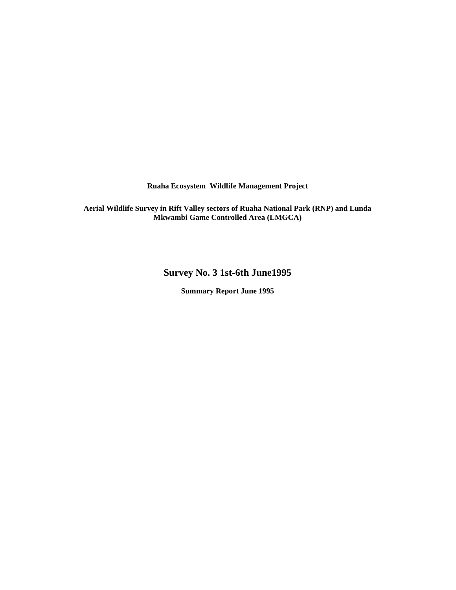**Ruaha Ecosystem Wildlife Management Project** 

**Aerial Wildlife Survey in Rift Valley sectors of Ruaha National Park (RNP) and Lunda Mkwambi Game Controlled Area (LMGCA)** 

**Survey No. 3 1st-6th June1995** 

**Summary Report June 1995**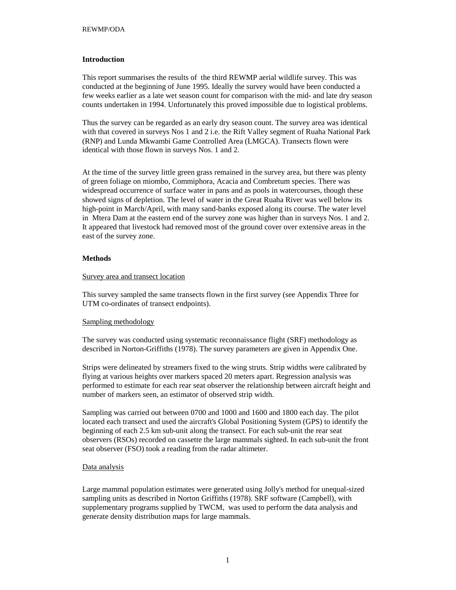## **Introduction**

This report summarises the results of the third REWMP aerial wildlife survey. This was conducted at the beginning of June 1995. Ideally the survey would have been conducted a few weeks earlier as a late wet season count for comparison with the mid- and late dry season counts undertaken in 1994. Unfortunately this proved impossible due to logistical problems.

Thus the survey can be regarded as an early dry season count. The survey area was identical with that covered in surveys Nos 1 and 2 i.e. the Rift Valley segment of Ruaha National Park (RNP) and Lunda Mkwambi Game Controlled Area (LMGCA). Transects flown were identical with those flown in surveys Nos. 1 and 2.

At the time of the survey little green grass remained in the survey area, but there was plenty of green foliage on miombo, Commiphora, Acacia and Combretum species. There was widespread occurrence of surface water in pans and as pools in watercourses, though these showed signs of depletion. The level of water in the Great Ruaha River was well below its high-point in March/April, with many sand-banks exposed along its course. The water level in Mtera Dam at the eastern end of the survey zone was higher than in surveys Nos. 1 and 2. It appeared that livestock had removed most of the ground cover over extensive areas in the east of the survey zone.

## **Methods**

## Survey area and transect location

This survey sampled the same transects flown in the first survey (see Appendix Three for UTM co-ordinates of transect endpoints).

#### Sampling methodology

The survey was conducted using systematic reconnaissance flight (SRF) methodology as described in Norton-Griffiths (1978). The survey parameters are given in Appendix One.

Strips were delineated by streamers fixed to the wing struts. Strip widths were calibrated by flying at various heights over markers spaced 20 meters apart. Regression analysis was performed to estimate for each rear seat observer the relationship between aircraft height and number of markers seen, an estimator of observed strip width.

Sampling was carried out between 0700 and 1000 and 1600 and 1800 each day. The pilot located each transect and used the aircraft's Global Positioning System (GPS) to identify the beginning of each 2.5 km sub-unit along the transect. For each sub-unit the rear seat observers (RSOs) recorded on cassette the large mammals sighted. In each sub-unit the front seat observer (FSO) took a reading from the radar altimeter.

### Data analysis

Large mammal population estimates were generated using Jolly's method for unequal-sized sampling units as described in Norton Griffiths (1978). SRF software (Campbell), with supplementary programs supplied by TWCM, was used to perform the data analysis and generate density distribution maps for large mammals.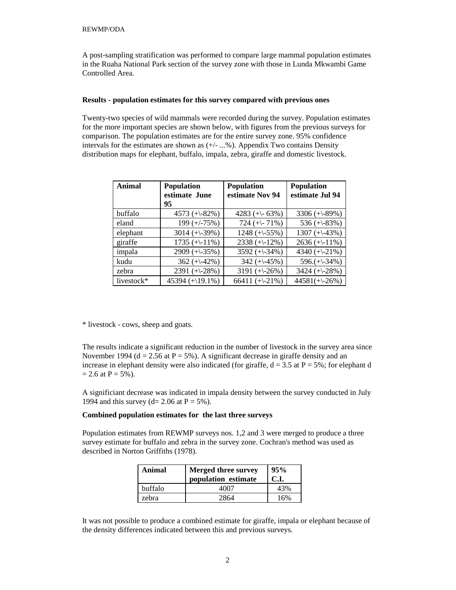A post-sampling stratification was performed to compare large mammal population estimates in the Ruaha National Park section of the survey zone with those in Lunda Mkwambi Game Controlled Area.

### **Results - population estimates for this survey compared with previous ones**

Twenty-two species of wild mammals were recorded during the survey. Population estimates for the more important species are shown below, with figures from the previous surveys for comparison. The population estimates are for the entire survey zone. 95% confidence intervals for the estimates are shown as  $(+/- \dots \% )$ . Appendix Two contains Density distribution maps for elephant, buffalo, impala, zebra, giraffe and domestic livestock.

| Animal     | <b>Population</b><br>estimate June<br>95 | <b>Population</b><br>estimate Nov 94 | <b>Population</b><br>estimate Jul 94 |
|------------|------------------------------------------|--------------------------------------|--------------------------------------|
| buffalo    | 4573 $(+82\%)$                           | 4283 (+ $\left(-63\% \right)$ )      | 3306 $(+89\%)$                       |
| eland      | $199 (+/-75%)$                           | 724 (+ $\{-71\%$ )                   | 536 $(+83\%)$                        |
| elephant   | 3014 $(+\frac{39\%}{ }$                  | $1248 (+-55%)$                       | $1307 (+-43%)$                       |
| giraffe    | $1735 (+-11\%)$                          | $2338 (+12\%)$                       | $2636 (+11\%)$                       |
| impala     | 2909 $(+\frac{35\%}{ }$                  | 3592 $(+\div 34\%)$                  | 4340 $(+21\%)$                       |
| kudu       | $362 (+142%)$                            | 342 $(+\div 45\%)$                   | $596. (+\div 34\%)$                  |
| zebra      | 2391 $(+28%)$                            | 3191 $(+26%)$                        | 3424 $(+28%)$                        |
| livestock* | $45394 (+19.1\%)$                        | 66411 $(+21\%)$                      | $44581(+26%)$                        |

\* livestock - cows, sheep and goats.

The results indicate a significant reduction in the number of livestock in the survey area since November 1994 ( $d = 2.56$  at  $P = 5\%$ ). A significant decrease in giraffe density and an increase in elephant density were also indicated (for giraffe,  $d = 3.5$  at  $P = 5\%$ ; for elephant d  $= 2.6$  at P  $= 5\%$ ).

A significiant decrease was indicated in impala density between the survey conducted in July 1994 and this survey (d= 2.06 at  $P = 5\%$ ).

## **Combined population estimates for the last three surveys**

Population estimates from REWMP surveys nos. 1,2 and 3 were merged to produce a three survey estimate for buffalo and zebra in the survey zone. Cochran's method was used as described in Norton Griffiths (1978).

| Animal  | <b>Merged three survey</b><br>population estimate | 95%<br>C.I. |
|---------|---------------------------------------------------|-------------|
| buffalo | 4007                                              | 43%         |
| zebra   | 2864                                              | 16%         |

It was not possible to produce a combined estimate for giraffe, impala or elephant because of the density differences indicated between this and previous surveys.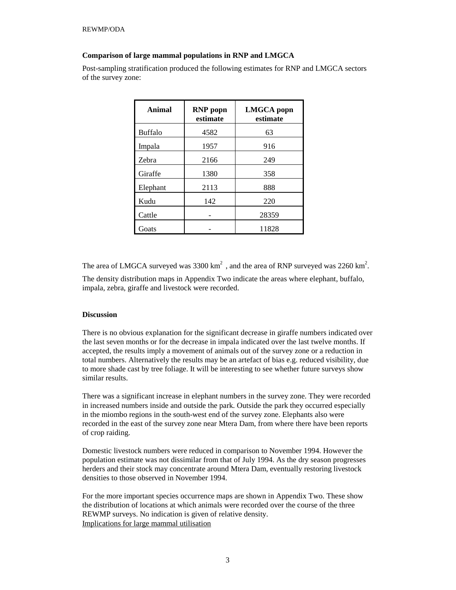## **Comparison of large mammal populations in RNP and LMGCA**

Post-sampling stratification produced the following estimates for RNP and LMGCA sectors of the survey zone:

| Animal         | <b>RNP</b> popn<br>estimate | <b>LMGCA</b> popn<br>estimate |
|----------------|-----------------------------|-------------------------------|
| <b>Buffalo</b> | 4582                        | 63                            |
| Impala         | 1957                        | 916                           |
| Zebra          | 2166                        | 249                           |
| Giraffe        | 1380                        | 358                           |
| Elephant       | 2113                        | 888                           |
| Kudu           | 142                         | 220                           |
| Cattle         |                             | 28359                         |
| Goats          |                             | 11828                         |

The area of LMGCA surveyed was  $3300 \text{ km}^2$ , and the area of RNP surveyed was  $2260 \text{ km}^2$ .

The density distribution maps in Appendix Two indicate the areas where elephant, buffalo, impala, zebra, giraffe and livestock were recorded.

## **Discussion**

There is no obvious explanation for the significant decrease in giraffe numbers indicated over the last seven months or for the decrease in impala indicated over the last twelve months. If accepted, the results imply a movement of animals out of the survey zone or a reduction in total numbers. Alternatively the results may be an artefact of bias e.g. reduced visibility, due to more shade cast by tree foliage. It will be interesting to see whether future surveys show similar results.

There was a significant increase in elephant numbers in the survey zone. They were recorded in increased numbers inside and outside the park. Outside the park they occurred especially in the miombo regions in the south-west end of the survey zone. Elephants also were recorded in the east of the survey zone near Mtera Dam, from where there have been reports of crop raiding.

Domestic livestock numbers were reduced in comparison to November 1994. However the population estimate was not dissimilar from that of July 1994. As the dry season progresses herders and their stock may concentrate around Mtera Dam, eventually restoring livestock densities to those observed in November 1994.

For the more important species occurrence maps are shown in Appendix Two. These show the distribution of locations at which animals were recorded over the course of the three REWMP surveys. No indication is given of relative density. Implications for large mammal utilisation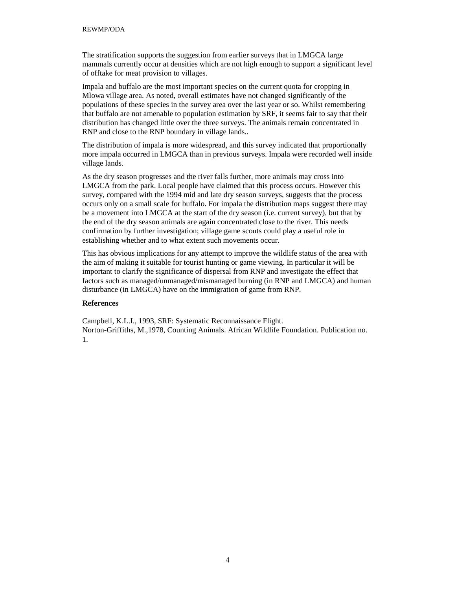#### REWMP/ODA

The stratification supports the suggestion from earlier surveys that in LMGCA large mammals currently occur at densities which are not high enough to support a significant level of offtake for meat provision to villages.

Impala and buffalo are the most important species on the current quota for cropping in Mlowa village area. As noted, overall estimates have not changed significantly of the populations of these species in the survey area over the last year or so. Whilst remembering that buffalo are not amenable to population estimation by SRF, it seems fair to say that their distribution has changed little over the three surveys. The animals remain concentrated in RNP and close to the RNP boundary in village lands..

The distribution of impala is more widespread, and this survey indicated that proportionally more impala occurred in LMGCA than in previous surveys. Impala were recorded well inside village lands.

As the dry season progresses and the river falls further, more animals may cross into LMGCA from the park. Local people have claimed that this process occurs. However this survey, compared with the 1994 mid and late dry season surveys, suggests that the process occurs only on a small scale for buffalo. For impala the distribution maps suggest there may be a movement into LMGCA at the start of the dry season (i.e. current survey), but that by the end of the dry season animals are again concentrated close to the river. This needs confirmation by further investigation; village game scouts could play a useful role in establishing whether and to what extent such movements occur.

This has obvious implications for any attempt to improve the wildlife status of the area with the aim of making it suitable for tourist hunting or game viewing. In particular it will be important to clarify the significance of dispersal from RNP and investigate the effect that factors such as managed/unmanaged/mismanaged burning (in RNP and LMGCA) and human disturbance (in LMGCA) have on the immigration of game from RNP.

## **References**

Campbell, K.L.I., 1993, SRF: Systematic Reconnaissance Flight. Norton-Griffiths, M.,1978, Counting Animals. African Wildlife Foundation. Publication no. 1.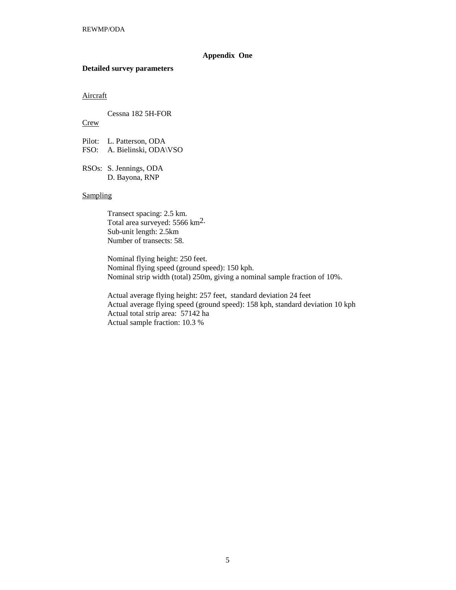## **Appendix One**

#### **Detailed survey parameters**

## Aircraft

Cessna 182 5H-FOR

## **Crew**

Pilot: L. Patterson, ODA FSO: A. Bielinski, ODA\VSO

RSOs: S. Jennings, ODA D. Bayona, RNP

## **Sampling**

 Transect spacing: 2.5 km. Total area surveyed: 5566 km2. Sub-unit length: 2.5km Number of transects: 58.

Nominal flying height: 250 feet. Nominal flying speed (ground speed): 150 kph. Nominal strip width (total) 250m, giving a nominal sample fraction of 10%.

Actual average flying height: 257 feet, standard deviation 24 feet Actual average flying speed (ground speed): 158 kph, standard deviation 10 kph Actual total strip area: 57142 ha Actual sample fraction: 10.3 %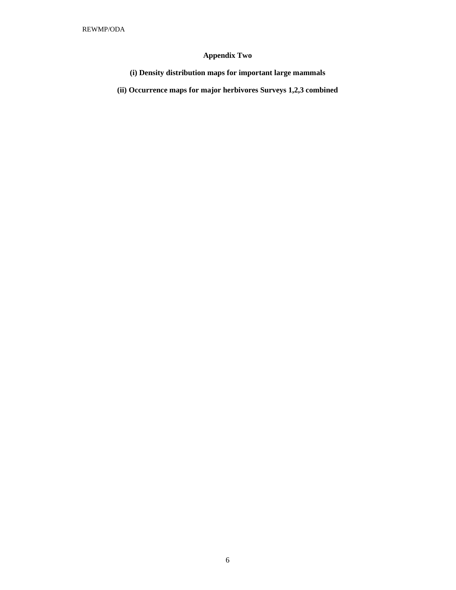## **Appendix Two**

**(i) Density distribution maps for important large mammals** 

**(ii) Occurrence maps for major herbivores Surveys 1,2,3 combined**